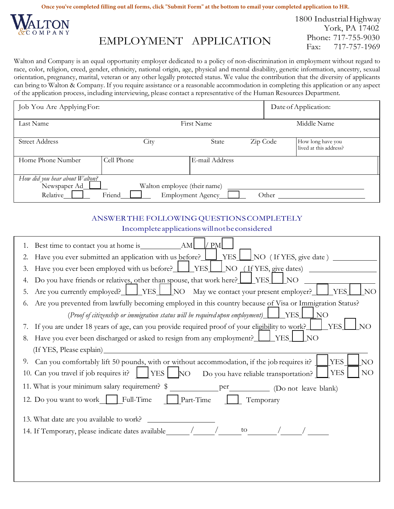**Once you've completed filling out all forms, click "Submit Form" at the bottom to email your completed application to HR.**



# EMPLOYMENT APPLICATION

1800 IndustrialHighway York, PA 17402 Phone: 717-755-9030 Fax: 717-757-1969

Walton and Company is an equal opportunity employer dedicated to a policy of non-discrimination in employment without regard to race, color, religion, creed, gender, ethnicity, national origin, age, physical and mental disability, genetic information, ancestry, sexual orientation, pregnancy, marital, veteran or any other legally protected status. We value the contribution that the diversity of applicants can bring to Walton & Company. If you require assistance or a reasonable accommodation in completing this application or any aspect of the application process, including interviewing, please contact a representative of the Human Resources Department.

| Job You Are Applying For:                                                                                                                 |            |                |  |             | Date of Application:                        |
|-------------------------------------------------------------------------------------------------------------------------------------------|------------|----------------|--|-------------|---------------------------------------------|
| Last Name                                                                                                                                 | First Name |                |  | Middle Name |                                             |
| <b>Street Address</b>                                                                                                                     | City       | State          |  | Zip Code    | How long have you<br>lived at this address? |
| Home Phone Number                                                                                                                         | Cell Phone | E-mail Address |  |             |                                             |
| How did you hear about Walton?<br>Newspaper Ad<br>Walton employee (their name)<br><b>Employment Agency</b><br>Relative<br>Friend<br>Other |            |                |  |             |                                             |

### ANSWERTHE FOLLOWINGQUESTIONSCOMPLETELY Incomplete applicationswillnotbe considered

| $/$ PM<br>1.                                                                                                            |
|-------------------------------------------------------------------------------------------------------------------------|
| $YES$ NO (If YES, give date)<br>Have you ever submitted an application with us before?<br>2.                            |
| $\perp$ NO $\perp$ If YES, give dates)<br>Have you ever been employed with us before? THES<br>3.                        |
| Do you have friends or relatives, other than spouse, that work here? VES<br>$\overline{N}$<br>4.                        |
| Are you currently employed?     YES   NO May we contact your present employer?<br><b>YES</b><br>NO <sub>1</sub><br>5.   |
| Are you prevented from lawfully becoming employed in this country because of Visa or Immigration Status?<br>6.          |
| (Proof of citizenship or immigration status will be required upon employment)<br>YES  <br>$\overline{N}$                |
| If you are under 18 years of age, can you provide required proof of your eligibility to work?<br><b>YES</b>             |
| Have you ever been discharged or asked to resign from any employment? VES<br>NO <sub>1</sub><br>8.                      |
| (If YES, Please explain)                                                                                                |
| Can you comfortably lift 50 pounds, with or without accommodation, if the job requires it?<br><b>YES</b><br>9.<br>NO    |
| Do you have reliable transportation?<br>10. Can you travel if job requires it?<br><b>YES</b><br>$ $ YES $ $<br>NO<br>NO |
| 11. What is your minimum salary requirement? \$<br>per (Do not leave blank)                                             |
| 12. Do you want to work   Full-Time<br>Part-Time<br>Temporary                                                           |
|                                                                                                                         |
| $\frac{1}{2}$ to $\frac{1}{2}$<br>14. If Temporary, please indicate dates available / / /                               |
|                                                                                                                         |
|                                                                                                                         |
|                                                                                                                         |
|                                                                                                                         |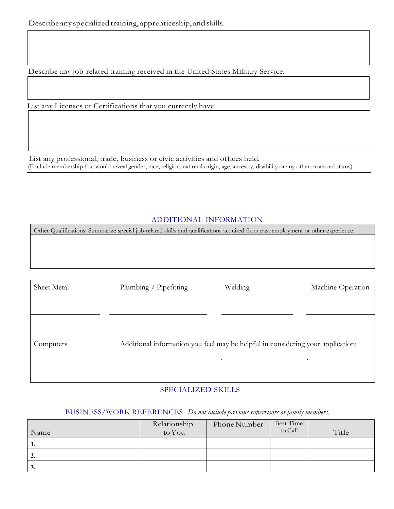Describe any job-related training received in the United States Military Service.

List any Licenses or Certifications that you currently have.

List any professional, trade, business or civic activities and offices held. (Exclude membership that would reveal gender, race, religion, national origin, age, ancestry, disability or any other protected status)

### ADDITIONAL INFORMATION

Other Qualifications: Summarize special job-related skills and qualifications acquired from past employment or other experience.

| Sheet Metal | Plumbing / Pipefitting | Welding                                                                                   | Machine Operation |
|-------------|------------------------|-------------------------------------------------------------------------------------------|-------------------|
|             |                        |                                                                                           |                   |
| Computers   |                        | Additional information you feel may be helpful in considering your application:<br>$\sim$ | $\sim$            |
|             |                        |                                                                                           |                   |

### SPECIALIZED SKILLS

#### BUSINESS/WORK REFERENCES *Do not include previous supervisors or family members.*

|      | Relationship | Phone Number | Best Time |       |
|------|--------------|--------------|-----------|-------|
| Name | to You       |              | to Call   | Title |
|      |              |              |           |       |
| ∸.   |              |              |           |       |
| ູບ.  |              |              |           |       |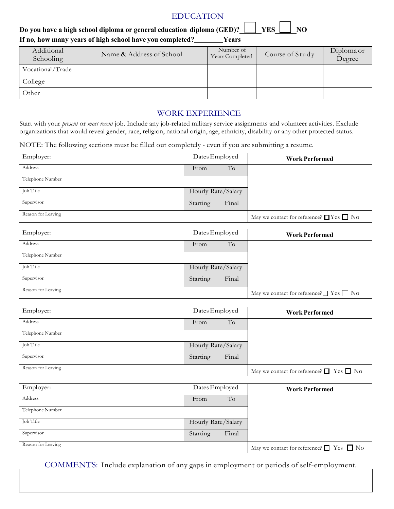### EDUCATION

## **Do** you have a high school diploma or general education diploma (GED)?  $\frac{1}{1}$  YES  $\frac{1}{1}$  NO **If no, how many years of high school have you completed? Years**

| Additional<br>Schooling | Name & Address of School | Number of<br>Years Completed | Course of Study | Diploma or<br>Degree |
|-------------------------|--------------------------|------------------------------|-----------------|----------------------|
| Vocational/Trade        |                          |                              |                 |                      |
| College                 |                          |                              |                 |                      |
| Other                   |                          |                              |                 |                      |

### WORK EXPERIENCE

Start with your *present* or *most recent* job. Include any job-related military service assignments and volunteer activities. Exclude organizations that would reveal gender, race, religion, national origin, age, ethnicity, disability or any other protected status.

NOTE: The following sections must be filled out completely - even if you are submitting a resume.

| Employer:          | Dates Employed     |       | <b>Work Performed</b>                              |
|--------------------|--------------------|-------|----------------------------------------------------|
| Address            | From               | To    |                                                    |
| Telephone Number   |                    |       |                                                    |
| Job Title          | Hourly Rate/Salary |       |                                                    |
| Supervisor         | Starting           | Final |                                                    |
| Reason for Leaving |                    |       | May we contact for reference? $\Box$ Yes $\Box$ No |

| Employer:          | Dates Employed |                    | <b>Work Performed</b>                              |
|--------------------|----------------|--------------------|----------------------------------------------------|
| Address            | From           | To                 |                                                    |
| Telephone Number   |                |                    |                                                    |
| Job Title          |                | Hourly Rate/Salary |                                                    |
| Supervisor         | Starting       | Final              |                                                    |
| Reason for Leaving |                |                    | May we contact for reference? $\Box$ Yes $\Box$ No |

| Employer:          | Dates Employed     |       | <b>Work Performed</b>                              |
|--------------------|--------------------|-------|----------------------------------------------------|
| Address            | From               | To    |                                                    |
| Telephone Number   |                    |       |                                                    |
| Job Title          | Hourly Rate/Salary |       |                                                    |
| Supervisor         | Starting           | Final |                                                    |
| Reason for Leaving |                    |       | May we contact for reference? $\Box$ Yes $\Box$ No |

| Employer:          | Dates Employed |                    | <b>Work Performed</b>                              |
|--------------------|----------------|--------------------|----------------------------------------------------|
| Address            | From           | T <sub>o</sub>     |                                                    |
| Telephone Number   |                |                    |                                                    |
| Job Title          |                | Hourly Rate/Salary |                                                    |
| Supervisor         | Starting       | Final              |                                                    |
| Reason for Leaving |                |                    | May we contact for reference? $\Box$ Yes $\Box$ No |

COMMENTS: Include explanation of any gaps in employment or periods of self-employment.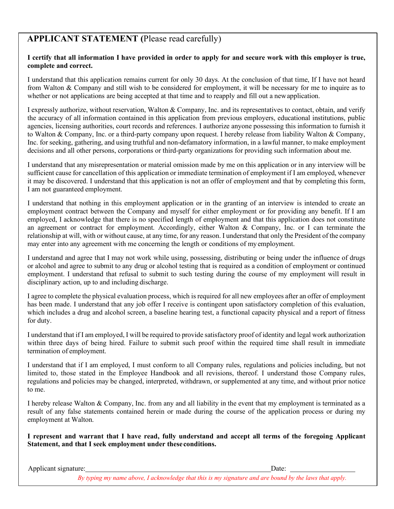# **APPLICANT STATEMENT (**Please read carefully)

#### **I certify that all information I have provided in order to apply for and secure work with this employer is true, complete and correct.**

I understand that this application remains current for only 30 days. At the conclusion of that time, If I have not heard from Walton & Company and still wish to be considered for employment, it will be necessary for me to inquire as to whether or not applications are being accepted at that time and to reapply and fill out a new application.

I expressly authorize, without reservation, Walton & Company, Inc. and its representatives to contact, obtain, and verify the accuracy of all information contained in this application from previous employers, educational institutions, public agencies, licensing authorities, court records and references. I authorize anyone possessing this information to furnish it to Walton & Company, Inc. or a third-party company upon request. I hereby release from liability Walton & Company, Inc. for seeking, gathering, and using truthful and non-defamatory information, in a lawful manner, to make employment decisions and all other persons, corporations or third-party organizations for providing such information about me.

I understand that any misrepresentation or material omission made by me on this application or in any interview will be sufficient cause for cancellation of this application or immediate termination of employment if I am employed, whenever it may be discovered. I understand that this application is not an offer of employment and that by completing this form, I am not guaranteed employment.

I understand that nothing in this employment application or in the granting of an interview is intended to create an employment contract between the Company and myself for either employment or for providing any benefit. If I am employed, I acknowledge that there is no specified length of employment and that this application does not constitute an agreement or contract for employment. Accordingly, either Walton & Company, Inc. or I can terminate the relationship at will, with or without cause, at any time, for any reason. I understand that only the President of the company may enter into any agreement with me concerning the length or conditions of my employment.

I understand and agree that I may not work while using, possessing, distributing or being under the influence of drugs or alcohol and agree to submit to any drug or alcohol testing that is required as a condition of employment or continued employment. I understand that refusal to submit to such testing during the course of my employment will result in disciplinary action, up to and including discharge.

I agree to complete the physical evaluation process, which is required for all new employees after an offer of employment has been made. I understand that any job offer I receive is contingent upon satisfactory completion of this evaluation, which includes a drug and alcohol screen, a baseline hearing test, a functional capacity physical and a report of fitness for duty.

I understand that if I am employed, I will be required to provide satisfactory proof of identity and legal work authorization within three days of being hired. Failure to submit such proof within the required time shall result in immediate termination of employment.

I understand that if I am employed, I must conform to all Company rules, regulations and policies including, but not limited to, those stated in the Employee Handbook and all revisions, thereof. I understand those Company rules, regulations and policies may be changed, interpreted, withdrawn, or supplemented at any time, and without prior notice to me.

I hereby release Walton & Company, Inc. from any and all liability in the event that my employment is terminated as a result of any false statements contained herein or made during the course of the application process or during my employment at Walton.

**I represent and warrant that I have read, fully understand and accept all terms of the foregoing Applicant Statement, and that I seek employment under these conditions.**

Applicant signature: Date: Date: Date: Date: Date: Date: Date: Date: Date: Date: Date: Date: Date: Date: Date: Date: Date: Date: Date: Date: Date: Date: Date: Date: Date: Date: Date: Date: Date: Date: Date: Date: Date: Dat

*By typing my name above, I acknowledge that this is my signature and are bound by the laws that apply.*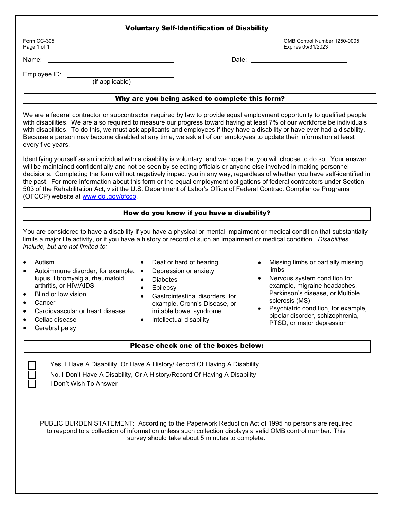| <b>Voluntary Self-Identification of Disability</b>                                                                             |  |                                                    |  |  |
|--------------------------------------------------------------------------------------------------------------------------------|--|----------------------------------------------------|--|--|
| Form CC-305<br>Page 1 of 1                                                                                                     |  | OMB Control Number 1250-0005<br>Expires 05/31/2023 |  |  |
| Name:<br><u> 1989 - Johann Harry Harry Harry Harry Harry Harry Harry Harry Harry Harry Harry Harry Harry Harry Harry Harry</u> |  |                                                    |  |  |
| Employee ID:                                                                                                                   |  |                                                    |  |  |

(if applicable)

#### Why are you being asked to complete this form?

We are a federal contractor or subcontractor required by law to provide equal employment opportunity to qualified people with disabilities. We are also required to measure our progress toward having at least 7% of our workforce be individuals with disabilities. To do this, we must ask applicants and employees if they have a disability or have ever had a disability. Because a person may become disabled at any time, we ask all of our employees to update their information at least every five years.

Identifying yourself as an individual with a disability is voluntary, and we hope that you will choose to do so. Your answer will be maintained confidentially and not be seen by selecting officials or anyone else involved in making personnel decisions. Completing the form will not negatively impact you in any way, regardless of whether you have self-identified in the past. For more information about this form or the equal employment obligations of federal contractors under Section 503 of the Rehabilitation Act, visit the U.S. Department of Labor's Office of Federal Contract Compliance Programs (OFCCP) website at [www.dol.gov/ofccp.](https://www.dol.gov/agencies/ofccp)

#### How do you know if you have a disability?

You are considered to have a disability if you have a physical or mental impairment or medical condition that substantially limits a major life activity, or if you have a history or record of such an impairment or medical condition. *Disabilities include, but are not limited to:*

- Autism
- Autoimmune disorder, for example, lupus, fibromyalgia, rheumatoid arthritis, or HIV/AIDS
- Blind or low vision
- Cancer
- Cardiovascular or heart disease
- Celiac disease
- Cerebral palsy
- Deaf or hard of hearing
- Depression or anxiety
- **Diabetes**
- **Epilepsy**
- Gastrointestinal disorders, for example, Crohn's Disease, or irritable bowel syndrome
- Intellectual disability
- Missing limbs or partially missing limbs
- Nervous system condition for example, migraine headaches, Parkinson's disease, or Multiple sclerosis (MS)
- Psychiatric condition, for example, bipolar disorder, schizophrenia, PTSD, or major depression

#### Please check one of the boxes below:

| Yes, I Have A Disability, Or Have A History/Record Of Having A Disability |
|---------------------------------------------------------------------------|
| No, I Don't Have A Disability, Or A History/Record Of Having A Disability |
| I Don't Wish To Answer                                                    |

PUBLIC BURDEN STATEMENT: According to the Paperwork Reduction Act of 1995 no persons are required to respond to a collection of information unless such collection displays a valid OMB control number. This survey should take about 5 minutes to complete.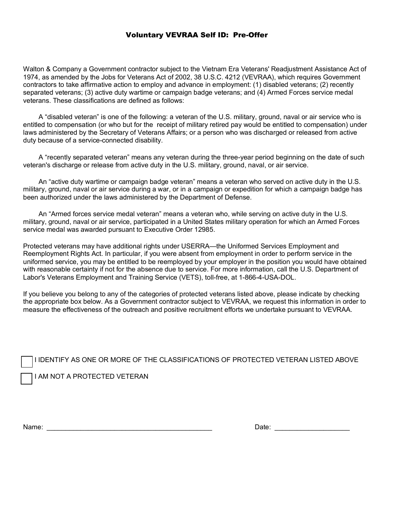### Voluntary VEVRAA Self ID: Pre-Offer

Walton & Company a Government contractor subject to the Vietnam Era Veterans' Readjustment Assistance Act of 1974, as amended by the Jobs for Veterans Act of 2002, 38 U.S.C. 4212 (VEVRAA), which requires Government contractors to take affirmative action to employ and advance in employment: (1) disabled veterans; (2) recently separated veterans; (3) active duty wartime or campaign badge veterans; and (4) Armed Forces service medal veterans. These classifications are defined as follows:

A "disabled veteran" is one of the following: a veteran of the U.S. military, ground, naval or air service who is entitled to compensation (or who but for the receipt of military retired pay would be entitled to compensation) under laws administered by the Secretary of Veterans Affairs; or a person who was discharged or released from active duty because of a service-connected disability.

A "recently separated veteran" means any veteran during the three-year period beginning on the date of such veteran's discharge or release from active duty in the U.S. military, ground, naval, or air service.

An "active duty wartime or campaign badge veteran" means a veteran who served on active duty in the U.S. military, ground, naval or air service during a war, or in a campaign or expedition for which a campaign badge has been authorized under the laws administered by the Department of Defense.

An "Armed forces service medal veteran" means a veteran who, while serving on active duty in the U.S. military, ground, naval or air service, participated in a United States military operation for which an Armed Forces service medal was awarded pursuant to Executive Order 12985.

Protected veterans may have additional rights under USERRA—the Uniformed Services Employment and Reemployment Rights Act. In particular, if you were absent from employment in order to perform service in the uniformed service, you may be entitled to be reemployed by your employer in the position you would have obtained with reasonable certainty if not for the absence due to service. For more information, call the U.S. Department of Labor's Veterans Employment and Training Service (VETS), toll-free, at 1-866-4-USA-DOL.

If you believe you belong to any of the categories of protected veterans listed above, please indicate by checking the appropriate box below. As a Government contractor subject to VEVRAA, we request this information in order to measure the effectiveness of the outreach and positive recruitment efforts we undertake pursuant to VEVRAA.

I IDENTIFY AS ONE OR MORE OF THE CLASSIFICATIONS OF PROTECTED VETERAN LISTED ABOVE

I AM NOT A PROTECTED VETERAN

Name: \_\_\_\_\_\_\_\_\_\_\_\_\_\_\_\_\_\_\_\_\_\_\_\_\_\_\_\_\_\_\_\_\_\_\_\_\_\_\_\_\_\_\_\_ Date: \_\_\_\_\_\_\_\_\_\_\_\_\_\_\_\_\_\_\_\_